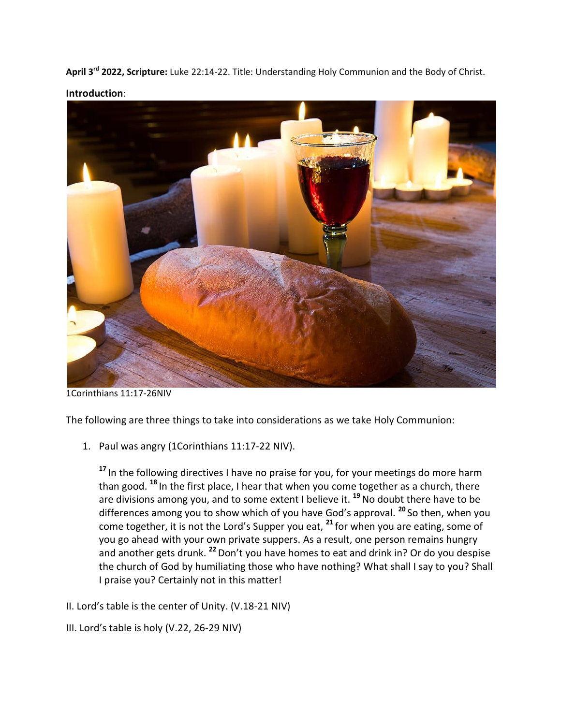**April 3rd 2022, Scripture:** Luke 22:14-22. Title: Understanding Holy Communion and the Body of Christ. **Introduction**:



1Corinthians 11:17-26NIV

The following are three things to take into considerations as we take Holy Communion:

1. Paul was angry (1Corinthians 11:17-22 NIV).

**<sup>17</sup>** In the following directives I have no praise for you, for your meetings do more harm than good. **<sup>18</sup>** In the first place, I hear that when you come together as a church, there are divisions among you, and to some extent I believe it. **<sup>19</sup>**No doubt there have to be differences among you to show which of you have God's approval. **<sup>20</sup>** So then, when you come together, it is not the Lord's Supper you eat, **<sup>21</sup>** for when you are eating, some of you go ahead with your own private suppers. As a result, one person remains hungry and another gets drunk. **<sup>22</sup>**Don't you have homes to eat and drink in? Or do you despise the church of God by humiliating those who have nothing? What shall I say to you? Shall I praise you? Certainly not in this matter!

- II. Lord's table is the center of Unity. (V.18-21 NIV)
- III. Lord's table is holy (V.22, 26-29 NIV)